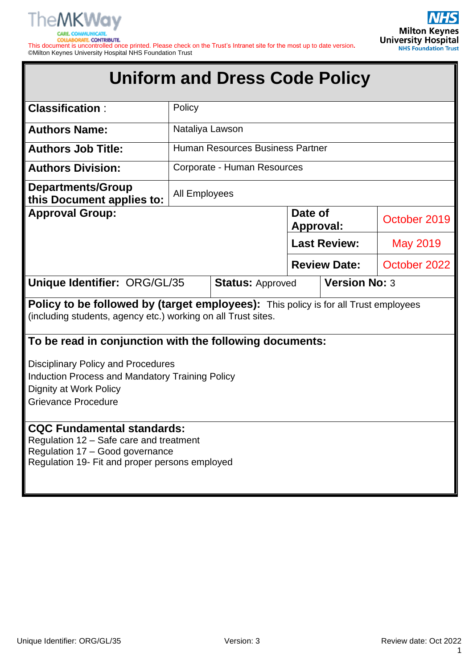

C **COLLABORATE, CONTRIBUTE.** 

This document is uncontrolled once printed. Please check on the Trust's Intranet site for the most up to date version**.** ©Milton Keynes University Hospital NHS Foundation Trust

|                                                                                                                                                                   |                      | <b>Uniform and Dress Code Policy</b> |                      |                      |              |
|-------------------------------------------------------------------------------------------------------------------------------------------------------------------|----------------------|--------------------------------------|----------------------|----------------------|--------------|
| <b>Classification:</b>                                                                                                                                            | Policy               |                                      |                      |                      |              |
| <b>Authors Name:</b>                                                                                                                                              | Nataliya Lawson      |                                      |                      |                      |              |
| <b>Authors Job Title:</b>                                                                                                                                         |                      | Human Resources Business Partner     |                      |                      |              |
| <b>Authors Division:</b>                                                                                                                                          |                      | Corporate - Human Resources          |                      |                      |              |
| <b>Departments/Group</b><br>this Document applies to:                                                                                                             | <b>All Employees</b> |                                      |                      |                      |              |
| <b>Approval Group:</b>                                                                                                                                            |                      |                                      | Date of<br>Approval: |                      | October 2019 |
|                                                                                                                                                                   |                      |                                      |                      | <b>Last Review:</b>  | May 2019     |
|                                                                                                                                                                   |                      |                                      |                      | <b>Review Date:</b>  | October 2022 |
| Unique Identifier: ORG/GL/35                                                                                                                                      |                      | <b>Status: Approved</b>              |                      | <b>Version No: 3</b> |              |
| <b>Policy to be followed by (target employees):</b> This policy is for all Trust employees<br>(including students, agency etc.) working on all Trust sites.       |                      |                                      |                      |                      |              |
| To be read in conjunction with the following documents:                                                                                                           |                      |                                      |                      |                      |              |
| <b>Disciplinary Policy and Procedures</b><br>Induction Process and Mandatory Training Policy<br>Dignity at Work Policy<br><b>Grievance Procedure</b>              |                      |                                      |                      |                      |              |
| <b>CQC Fundamental standards:</b><br>Regulation 12 - Safe care and treatment<br>Regulation 17 - Good governance<br>Regulation 19- Fit and proper persons employed |                      |                                      |                      |                      |              |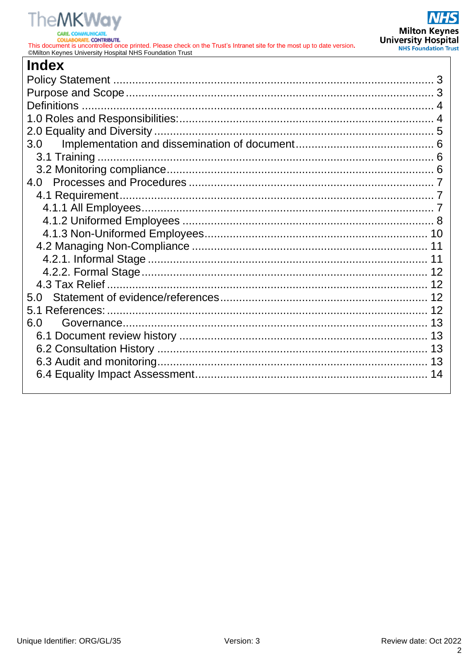# **TheMKWay**

**CARE COLLABORATE, CONTRIBUTE.** 

This document is uncontrolled once printed. Please check on the Trust's Intranet site for the most up to date version.<br>
©Milton Keynes University Hospital NHS Foundation Trust

| <b>Index</b> |    |
|--------------|----|
|              |    |
|              |    |
|              |    |
|              |    |
|              |    |
| 3.0          |    |
|              |    |
|              |    |
| 4.0          |    |
|              |    |
|              |    |
|              |    |
|              |    |
|              |    |
|              |    |
|              |    |
|              |    |
| 5.0          |    |
|              |    |
| 6.0          |    |
|              |    |
|              | 13 |
|              |    |
|              |    |
|              |    |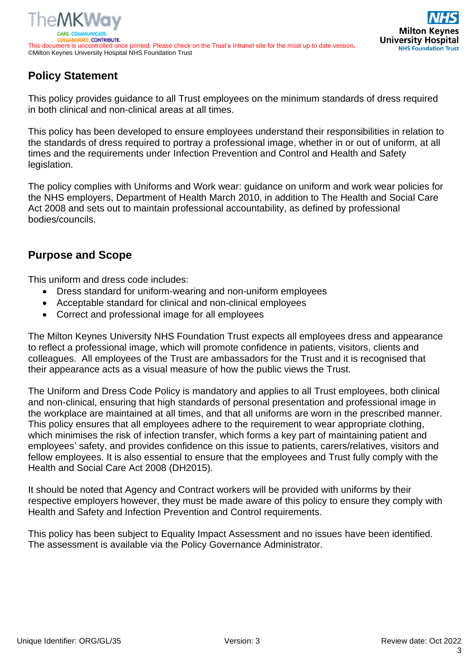



# <span id="page-2-0"></span>**Policy Statement**

This policy provides guidance to all Trust employees on the minimum standards of dress required in both clinical and non-clinical areas at all times.

This policy has been developed to ensure employees understand their responsibilities in relation to the standards of dress required to portray a professional image, whether in or out of uniform, at all times and the requirements under Infection Prevention and Control and Health and Safety legislation.

The policy complies with Uniforms and Work wear: guidance on uniform and work wear policies for the NHS employers, Department of Health March 2010, in addition to The Health and Social Care Act 2008 and sets out to maintain professional accountability, as defined by professional bodies/councils.

# <span id="page-2-1"></span>**Purpose and Scope**

This uniform and dress code includes:

- Dress standard for uniform-wearing and non-uniform employees
- Acceptable standard for clinical and non-clinical employees
- Correct and professional image for all employees

The Milton Keynes University NHS Foundation Trust expects all employees dress and appearance to reflect a professional image, which will promote confidence in patients, visitors, clients and colleagues. All employees of the Trust are ambassadors for the Trust and it is recognised that their appearance acts as a visual measure of how the public views the Trust.

The Uniform and Dress Code Policy is mandatory and applies to all Trust employees, both clinical and non-clinical, ensuring that high standards of personal presentation and professional image in the workplace are maintained at all times, and that all uniforms are worn in the prescribed manner. This policy ensures that all employees adhere to the requirement to wear appropriate clothing, which minimises the risk of infection transfer, which forms a key part of maintaining patient and employees' safety, and provides confidence on this issue to patients, carers/relatives, visitors and fellow employees. It is also essential to ensure that the employees and Trust fully comply with the Health and Social Care Act 2008 (DH2015).

It should be noted that Agency and Contract workers will be provided with uniforms by their respective employers however, they must be made aware of this policy to ensure they comply with Health and Safety and Infection Prevention and Control requirements.

This policy has been subject to Equality Impact Assessment and no issues have been identified. The assessment is available via the Policy Governance Administrator.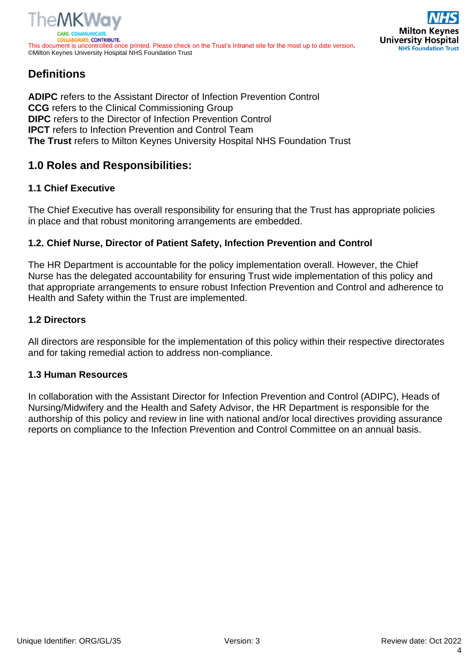



# <span id="page-3-0"></span>**Definitions**

**ADIPC** refers to the Assistant Director of Infection Prevention Control **CCG** refers to the Clinical Commissioning Group **DIPC** refers to the Director of Infection Prevention Control **IPCT** refers to Infection Prevention and Control Team **The Trust** refers to Milton Keynes University Hospital NHS Foundation Trust

# <span id="page-3-1"></span>**1.0 Roles and Responsibilities:**

#### **1.1 Chief Executive**

The Chief Executive has overall responsibility for ensuring that the Trust has appropriate policies in place and that robust monitoring arrangements are embedded.

#### **1.2. Chief Nurse, Director of Patient Safety, Infection Prevention and Control**

The HR Department is accountable for the policy implementation overall. However, the Chief Nurse has the delegated accountability for ensuring Trust wide implementation of this policy and that appropriate arrangements to ensure robust Infection Prevention and Control and adherence to Health and Safety within the Trust are implemented.

#### **1.2 Directors**

All directors are responsible for the implementation of this policy within their respective directorates and for taking remedial action to address non-compliance.

#### **1.3 Human Resources**

In collaboration with the Assistant Director for Infection Prevention and Control (ADIPC), Heads of Nursing/Midwifery and the Health and Safety Advisor, the HR Department is responsible for the authorship of this policy and review in line with national and/or local directives providing assurance reports on compliance to the Infection Prevention and Control Committee on an annual basis.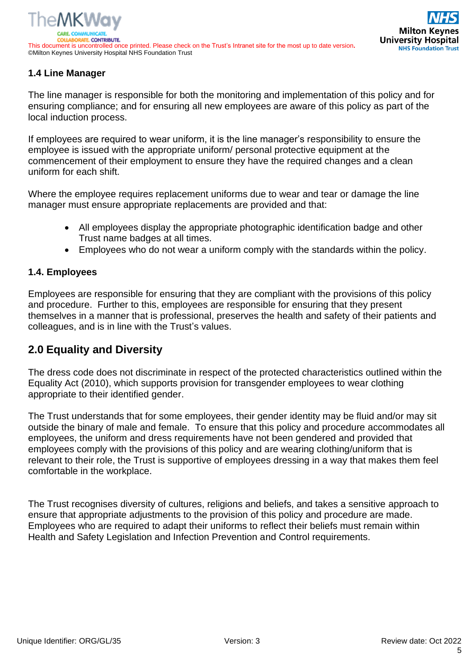## **1.4 Line Manager**

The line manager is responsible for both the monitoring and implementation of this policy and for ensuring compliance; and for ensuring all new employees are aware of this policy as part of the local induction process.

If employees are required to wear uniform, it is the line manager's responsibility to ensure the employee is issued with the appropriate uniform/ personal protective equipment at the commencement of their employment to ensure they have the required changes and a clean uniform for each shift.

Where the employee requires replacement uniforms due to wear and tear or damage the line manager must ensure appropriate replacements are provided and that:

- All employees display the appropriate photographic identification badge and other Trust name badges at all times.
- Employees who do not wear a uniform comply with the standards within the policy.

#### **1.4. Employees**

Employees are responsible for ensuring that they are compliant with the provisions of this policy and procedure. Further to this, employees are responsible for ensuring that they present themselves in a manner that is professional, preserves the health and safety of their patients and colleagues, and is in line with the Trust's values.

## <span id="page-4-0"></span>**2.0 Equality and Diversity**

The dress code does not discriminate in respect of the protected characteristics outlined within the Equality Act (2010), which supports provision for transgender employees to wear clothing appropriate to their identified gender.

The Trust understands that for some employees, their gender identity may be fluid and/or may sit outside the binary of male and female. To ensure that this policy and procedure accommodates all employees, the uniform and dress requirements have not been gendered and provided that employees comply with the provisions of this policy and are wearing clothing/uniform that is relevant to their role, the Trust is supportive of employees dressing in a way that makes them feel comfortable in the workplace.

The Trust recognises diversity of cultures, religions and beliefs, and takes a sensitive approach to ensure that appropriate adjustments to the provision of this policy and procedure are made. Employees who are required to adapt their uniforms to reflect their beliefs must remain within Health and Safety Legislation and Infection Prevention and Control requirements.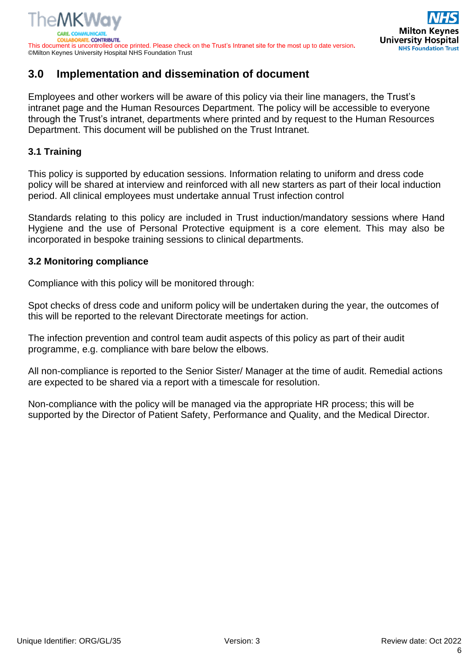# <span id="page-5-0"></span>**3.0 Implementation and dissemination of document**

Employees and other workers will be aware of this policy via their line managers, the Trust's intranet page and the Human Resources Department. The policy will be accessible to everyone through the Trust's intranet, departments where printed and by request to the Human Resources Department. This document will be published on the Trust Intranet.

#### <span id="page-5-1"></span>**3.1 Training**

This policy is supported by education sessions. Information relating to uniform and dress code policy will be shared at interview and reinforced with all new starters as part of their local induction period. All clinical employees must undertake annual Trust infection control

Standards relating to this policy are included in Trust induction/mandatory sessions where Hand Hygiene and the use of Personal Protective equipment is a core element. This may also be incorporated in bespoke training sessions to clinical departments.

#### <span id="page-5-2"></span>**3.2 Monitoring compliance**

Compliance with this policy will be monitored through:

Spot checks of dress code and uniform policy will be undertaken during the year, the outcomes of this will be reported to the relevant Directorate meetings for action.

The infection prevention and control team audit aspects of this policy as part of their audit programme, e.g. compliance with bare below the elbows.

All non-compliance is reported to the Senior Sister/ Manager at the time of audit. Remedial actions are expected to be shared via a report with a timescale for resolution.

Non-compliance with the policy will be managed via the appropriate HR process; this will be supported by the Director of Patient Safety, Performance and Quality, and the Medical Director.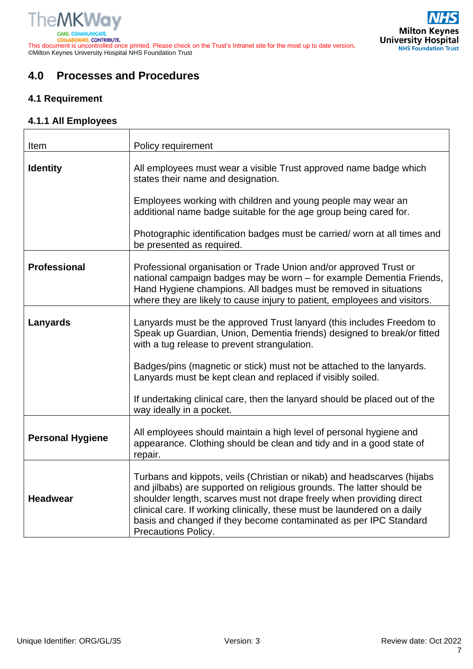This document is uncontrolled once printed. Please check on the Trust's Intranet site for the most up to date version**.** ©Milton Keynes University Hospital NHS Foundation Trust



# <span id="page-6-0"></span>**4.0 Processes and Procedures**

٦

#### <span id="page-6-1"></span>**4.1 Requirement**

 $\overline{1}$ 

#### <span id="page-6-2"></span>**4.1.1 All Employees**

| Item                    | Policy requirement                                                                                                                                                                                                                                                                                                                                                                               |  |  |
|-------------------------|--------------------------------------------------------------------------------------------------------------------------------------------------------------------------------------------------------------------------------------------------------------------------------------------------------------------------------------------------------------------------------------------------|--|--|
| <b>Identity</b>         | All employees must wear a visible Trust approved name badge which<br>states their name and designation.                                                                                                                                                                                                                                                                                          |  |  |
|                         | Employees working with children and young people may wear an<br>additional name badge suitable for the age group being cared for.                                                                                                                                                                                                                                                                |  |  |
|                         | Photographic identification badges must be carried/worn at all times and<br>be presented as required.                                                                                                                                                                                                                                                                                            |  |  |
| <b>Professional</b>     | Professional organisation or Trade Union and/or approved Trust or<br>national campaign badges may be worn - for example Dementia Friends,<br>Hand Hygiene champions. All badges must be removed in situations<br>where they are likely to cause injury to patient, employees and visitors.                                                                                                       |  |  |
| Lanyards                | Lanyards must be the approved Trust lanyard (this includes Freedom to<br>Speak up Guardian, Union, Dementia friends) designed to break/or fitted<br>with a tug release to prevent strangulation.                                                                                                                                                                                                 |  |  |
|                         | Badges/pins (magnetic or stick) must not be attached to the lanyards.<br>Lanyards must be kept clean and replaced if visibly soiled.                                                                                                                                                                                                                                                             |  |  |
|                         | If undertaking clinical care, then the lanyard should be placed out of the<br>way ideally in a pocket.                                                                                                                                                                                                                                                                                           |  |  |
| <b>Personal Hygiene</b> | All employees should maintain a high level of personal hygiene and<br>appearance. Clothing should be clean and tidy and in a good state of<br>repair.                                                                                                                                                                                                                                            |  |  |
| <b>Headwear</b>         | Turbans and kippots, veils (Christian or nikab) and headscarves (hijabs<br>and jilbabs) are supported on religious grounds. The latter should be<br>shoulder length, scarves must not drape freely when providing direct<br>clinical care. If working clinically, these must be laundered on a daily<br>basis and changed if they become contaminated as per IPC Standard<br>Precautions Policy. |  |  |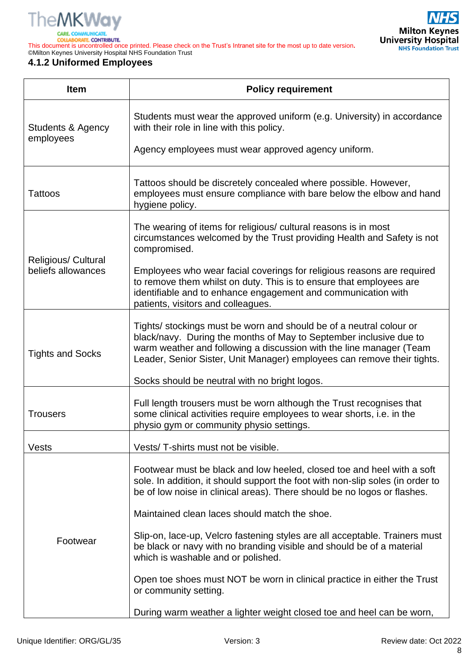

**ORATE CONTRIBUTE COLLAI** 

This document is uncontrolled once printed. Please check on the Trust's Intranet site for the most up to date version**.** ©Milton Keynes University Hospital NHS Foundation Trust

#### <span id="page-7-0"></span>**4.1.2 Uniformed Employees**

| <b>Item</b>                                      | <b>Policy requirement</b>                                                                                                                                                                                                                                                                   |  |  |  |  |  |
|--------------------------------------------------|---------------------------------------------------------------------------------------------------------------------------------------------------------------------------------------------------------------------------------------------------------------------------------------------|--|--|--|--|--|
| Students & Agency<br>employees                   | Students must wear the approved uniform (e.g. University) in accordance<br>with their role in line with this policy.                                                                                                                                                                        |  |  |  |  |  |
|                                                  | Agency employees must wear approved agency uniform.                                                                                                                                                                                                                                         |  |  |  |  |  |
| Tattoos                                          | Tattoos should be discretely concealed where possible. However,<br>employees must ensure compliance with bare below the elbow and hand<br>hygiene policy.                                                                                                                                   |  |  |  |  |  |
|                                                  | The wearing of items for religious/ cultural reasons is in most<br>circumstances welcomed by the Trust providing Health and Safety is not<br>compromised.                                                                                                                                   |  |  |  |  |  |
| <b>Religious/ Cultural</b><br>beliefs allowances | Employees who wear facial coverings for religious reasons are required<br>to remove them whilst on duty. This is to ensure that employees are<br>identifiable and to enhance engagement and communication with<br>patients, visitors and colleagues.                                        |  |  |  |  |  |
| <b>Tights and Socks</b>                          | Tights/ stockings must be worn and should be of a neutral colour or<br>black/navy. During the months of May to September inclusive due to<br>warm weather and following a discussion with the line manager (Team<br>Leader, Senior Sister, Unit Manager) employees can remove their tights. |  |  |  |  |  |
|                                                  | Socks should be neutral with no bright logos.                                                                                                                                                                                                                                               |  |  |  |  |  |
| <b>Trousers</b>                                  | Full length trousers must be worn although the Trust recognises that<br>some clinical activities require employees to wear shorts, i.e. in the<br>physio gym or community physio settings.                                                                                                  |  |  |  |  |  |
| Vests                                            | Vests/T-shirts must not be visible.                                                                                                                                                                                                                                                         |  |  |  |  |  |
|                                                  | Footwear must be black and low heeled, closed toe and heel with a soft<br>sole. In addition, it should support the foot with non-slip soles (in order to<br>be of low noise in clinical areas). There should be no logos or flashes.                                                        |  |  |  |  |  |
|                                                  | Maintained clean laces should match the shoe.                                                                                                                                                                                                                                               |  |  |  |  |  |
| Footwear                                         | Slip-on, lace-up, Velcro fastening styles are all acceptable. Trainers must<br>be black or navy with no branding visible and should be of a material<br>which is washable and or polished.                                                                                                  |  |  |  |  |  |
|                                                  | Open toe shoes must NOT be worn in clinical practice in either the Trust<br>or community setting.                                                                                                                                                                                           |  |  |  |  |  |
|                                                  | During warm weather a lighter weight closed toe and heel can be worn,                                                                                                                                                                                                                       |  |  |  |  |  |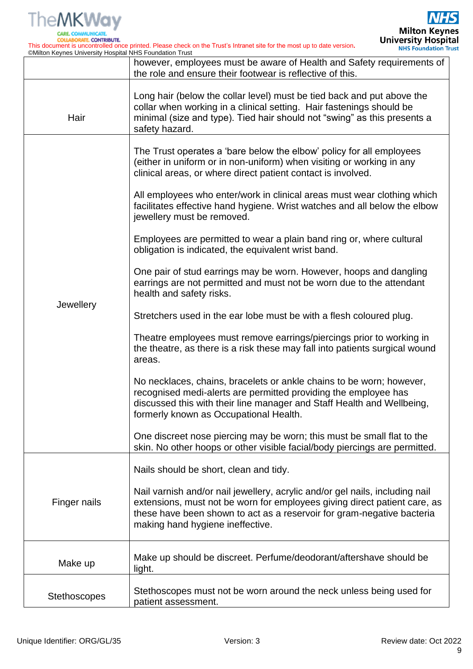

**CARE COLLABORATE, CONTRIBUTE.** 

This document is uncontrolled once printed. Please check on the Trust's Intranet site for the most up to date version**.** ©Milton Keynes University Hospital NHS Foundation Trust

|                     | however, employees must be aware of Health and Safety requirements of<br>the role and ensure their footwear is reflective of this.                                                                                                                                      |  |
|---------------------|-------------------------------------------------------------------------------------------------------------------------------------------------------------------------------------------------------------------------------------------------------------------------|--|
| Hair                | Long hair (below the collar level) must be tied back and put above the<br>collar when working in a clinical setting. Hair fastenings should be<br>minimal (size and type). Tied hair should not "swing" as this presents a<br>safety hazard.                            |  |
|                     | The Trust operates a 'bare below the elbow' policy for all employees<br>(either in uniform or in non-uniform) when visiting or working in any<br>clinical areas, or where direct patient contact is involved.                                                           |  |
|                     | All employees who enter/work in clinical areas must wear clothing which<br>facilitates effective hand hygiene. Wrist watches and all below the elbow<br>jewellery must be removed.                                                                                      |  |
|                     | Employees are permitted to wear a plain band ring or, where cultural<br>obligation is indicated, the equivalent wrist band.                                                                                                                                             |  |
|                     | One pair of stud earrings may be worn. However, hoops and dangling<br>earrings are not permitted and must not be worn due to the attendant<br>health and safety risks.                                                                                                  |  |
| Jewellery           | Stretchers used in the ear lobe must be with a flesh coloured plug.                                                                                                                                                                                                     |  |
|                     | Theatre employees must remove earrings/piercings prior to working in<br>the theatre, as there is a risk these may fall into patients surgical wound<br>areas.                                                                                                           |  |
|                     | No necklaces, chains, bracelets or ankle chains to be worn; however,<br>recognised medi-alerts are permitted providing the employee has<br>discussed this with their line manager and Staff Health and Wellbeing,<br>formerly known as Occupational Health.             |  |
|                     | One discreet nose piercing may be worn; this must be small flat to the<br>skin. No other hoops or other visible facial/body piercings are permitted.                                                                                                                    |  |
|                     | Nails should be short, clean and tidy.                                                                                                                                                                                                                                  |  |
| Finger nails        | Nail varnish and/or nail jewellery, acrylic and/or gel nails, including nail<br>extensions, must not be worn for employees giving direct patient care, as<br>these have been shown to act as a reservoir for gram-negative bacteria<br>making hand hygiene ineffective. |  |
| Make up             | Make up should be discreet. Perfume/deodorant/aftershave should be<br>light.                                                                                                                                                                                            |  |
| <b>Stethoscopes</b> | Stethoscopes must not be worn around the neck unless being used for<br>patient assessment.                                                                                                                                                                              |  |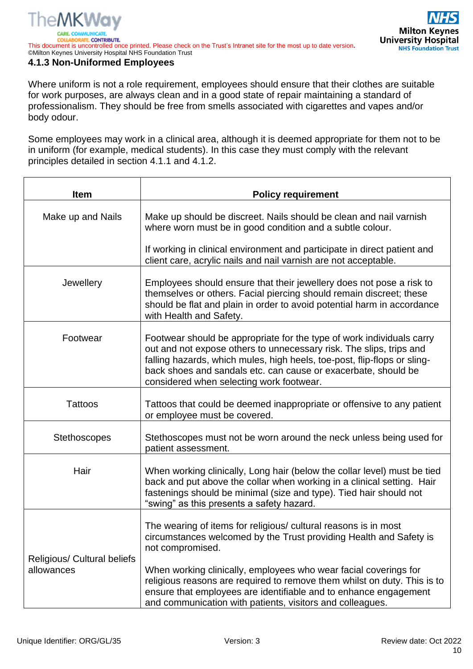DRATE, CONTRIBUTE. This document is uncontrolled once printed. Please check on the Trust's Intranet site for the most up to date version**.** ©Milton Keynes University Hospital NHS Foundation Trust

#### <span id="page-9-0"></span>**4.1.3 Non-Uniformed Employees**

Where uniform is not a role requirement, employees should ensure that their clothes are suitable for work purposes, are always clean and in a good state of repair maintaining a standard of professionalism. They should be free from smells associated with cigarettes and vapes and/or body odour.

Some employees may work in a clinical area, although it is deemed appropriate for them not to be in uniform (for example, medical students). In this case they must comply with the relevant principles detailed in section 4.1.1 and 4.1.2.

| <b>Item</b>                                      | <b>Policy requirement</b>                                                                                                                                                                                                                                                                                                              |  |  |
|--------------------------------------------------|----------------------------------------------------------------------------------------------------------------------------------------------------------------------------------------------------------------------------------------------------------------------------------------------------------------------------------------|--|--|
| Make up and Nails                                | Make up should be discreet. Nails should be clean and nail varnish<br>where worn must be in good condition and a subtle colour.                                                                                                                                                                                                        |  |  |
|                                                  | If working in clinical environment and participate in direct patient and<br>client care, acrylic nails and nail varnish are not acceptable.                                                                                                                                                                                            |  |  |
| Jewellery                                        | Employees should ensure that their jewellery does not pose a risk to<br>themselves or others. Facial piercing should remain discreet; these<br>should be flat and plain in order to avoid potential harm in accordance<br>with Health and Safety.                                                                                      |  |  |
| Footwear                                         | Footwear should be appropriate for the type of work individuals carry<br>out and not expose others to unnecessary risk. The slips, trips and<br>falling hazards, which mules, high heels, toe-post, flip-flops or sling-<br>back shoes and sandals etc. can cause or exacerbate, should be<br>considered when selecting work footwear. |  |  |
| <b>Tattoos</b>                                   | Tattoos that could be deemed inappropriate or offensive to any patient<br>or employee must be covered.                                                                                                                                                                                                                                 |  |  |
| <b>Stethoscopes</b>                              | Stethoscopes must not be worn around the neck unless being used for<br>patient assessment.                                                                                                                                                                                                                                             |  |  |
| Hair                                             | When working clinically, Long hair (below the collar level) must be tied<br>back and put above the collar when working in a clinical setting. Hair<br>fastenings should be minimal (size and type). Tied hair should not<br>"swing" as this presents a safety hazard.                                                                  |  |  |
| <b>Religious/ Cultural beliefs</b><br>allowances | The wearing of items for religious/ cultural reasons is in most<br>circumstances welcomed by the Trust providing Health and Safety is<br>not compromised.<br>When working clinically, employees who wear facial coverings for                                                                                                          |  |  |
|                                                  | religious reasons are required to remove them whilst on duty. This is to<br>ensure that employees are identifiable and to enhance engagement<br>and communication with patients, visitors and colleagues.                                                                                                                              |  |  |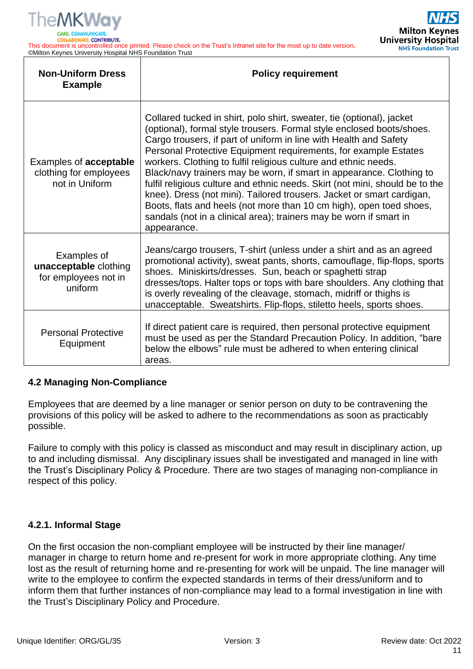

*<u>ITE. CONTRIBUTE.</u>* 

This document is uncontrolled once printed. Please check on the Trust's Intranet site for the most up to date version**.** ©Milton Keynes University Hospital NHS Foundation Trust



| <b>Non-Uniform Dress</b><br><b>Example</b>                                | <b>Policy requirement</b>                                                                                                                                                                                                                                                                                                                                                                                                                                                                                                                                                                                                                                                                                                                              |
|---------------------------------------------------------------------------|--------------------------------------------------------------------------------------------------------------------------------------------------------------------------------------------------------------------------------------------------------------------------------------------------------------------------------------------------------------------------------------------------------------------------------------------------------------------------------------------------------------------------------------------------------------------------------------------------------------------------------------------------------------------------------------------------------------------------------------------------------|
| Examples of <b>acceptable</b><br>clothing for employees<br>not in Uniform | Collared tucked in shirt, polo shirt, sweater, tie (optional), jacket<br>(optional), formal style trousers. Formal style enclosed boots/shoes.<br>Cargo trousers, if part of uniform in line with Health and Safety<br>Personal Protective Equipment requirements, for example Estates<br>workers. Clothing to fulfil religious culture and ethnic needs.<br>Black/navy trainers may be worn, if smart in appearance. Clothing to<br>fulfil religious culture and ethnic needs. Skirt (not mini, should be to the<br>knee). Dress (not mini). Tailored trousers. Jacket or smart cardigan,<br>Boots, flats and heels (not more than 10 cm high), open toed shoes,<br>sandals (not in a clinical area); trainers may be worn if smart in<br>appearance. |
| Examples of<br>unacceptable clothing<br>for employees not in<br>uniform   | Jeans/cargo trousers, T-shirt (unless under a shirt and as an agreed<br>promotional activity), sweat pants, shorts, camouflage, flip-flops, sports<br>shoes. Miniskirts/dresses. Sun, beach or spaghetti strap<br>dresses/tops. Halter tops or tops with bare shoulders. Any clothing that<br>is overly revealing of the cleavage, stomach, midriff or thighs is<br>unacceptable. Sweatshirts. Flip-flops, stiletto heels, sports shoes.                                                                                                                                                                                                                                                                                                               |
| <b>Personal Protective</b><br>Equipment                                   | If direct patient care is required, then personal protective equipment<br>must be used as per the Standard Precaution Policy. In addition, "bare<br>below the elbows" rule must be adhered to when entering clinical<br>areas.                                                                                                                                                                                                                                                                                                                                                                                                                                                                                                                         |

#### <span id="page-10-0"></span>**4.2 Managing Non-Compliance**

Employees that are deemed by a line manager or senior person on duty to be contravening the provisions of this policy will be asked to adhere to the recommendations as soon as practicably possible.

Failure to comply with this policy is classed as misconduct and may result in disciplinary action, up to and including dismissal. Any disciplinary issues shall be investigated and managed in line with the Trust's Disciplinary Policy & Procedure. There are two stages of managing non-compliance in respect of this policy.

#### <span id="page-10-1"></span>**4.2.1. Informal Stage**

On the first occasion the non-compliant employee will be instructed by their line manager/ manager in charge to return home and re-present for work in more appropriate clothing. Any time lost as the result of returning home and re-presenting for work will be unpaid. The line manager will write to the employee to confirm the expected standards in terms of their dress/uniform and to inform them that further instances of non-compliance may lead to a formal investigation in line with the Trust's Disciplinary Policy and Procedure.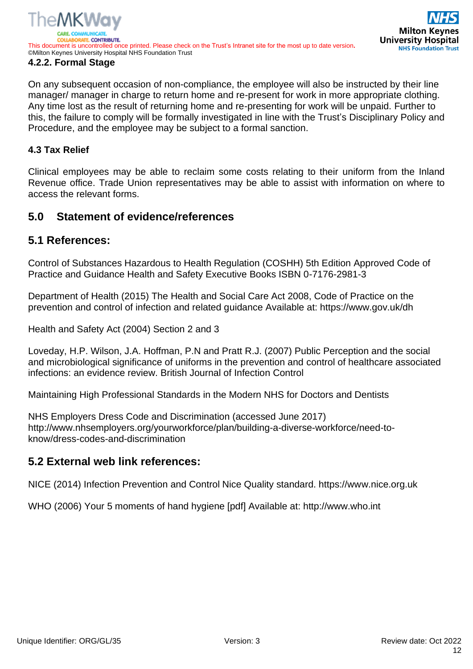<span id="page-11-0"></span>On any subsequent occasion of non-compliance, the employee will also be instructed by their line manager/ manager in charge to return home and re-present for work in more appropriate clothing. Any time lost as the result of returning home and re-presenting for work will be unpaid. Further to this, the failure to comply will be formally investigated in line with the Trust's Disciplinary Policy and Procedure, and the employee may be subject to a formal sanction.

#### <span id="page-11-1"></span>**4.3 Tax Relief**

Clinical employees may be able to reclaim some costs relating to their uniform from the Inland Revenue office. Trade Union representatives may be able to assist with information on where to access the relevant forms.

## <span id="page-11-2"></span>**5.0 Statement of evidence/references**

### <span id="page-11-3"></span>**5.1 References:**

Control of Substances Hazardous to Health Regulation (COSHH) 5th Edition Approved Code of Practice and Guidance Health and Safety Executive Books ISBN 0-7176-2981-3

Department of Health (2015) The Health and Social Care Act 2008, Code of Practice on the prevention and control of infection and related guidance Available at: https://www.gov.uk/dh

Health and Safety Act (2004) Section 2 and 3

Loveday, H.P. Wilson, J.A. Hoffman, P.N and Pratt R.J. (2007) Public Perception and the social and microbiological significance of uniforms in the prevention and control of healthcare associated infections: an evidence review. British Journal of Infection Control

Maintaining High Professional Standards in the Modern NHS for Doctors and Dentists

NHS Employers Dress Code and Discrimination (accessed June 2017) http://www.nhsemployers.org/yourworkforce/plan/building-a-diverse-workforce/need-toknow/dress-codes-and-discrimination

#### **5.2 External web link references:**

NICE (2014) Infection Prevention and Control Nice Quality standard. https://www.nice.org.uk

WHO (2006) Your 5 moments of hand hygiene [pdf] Available at: http://www.who.int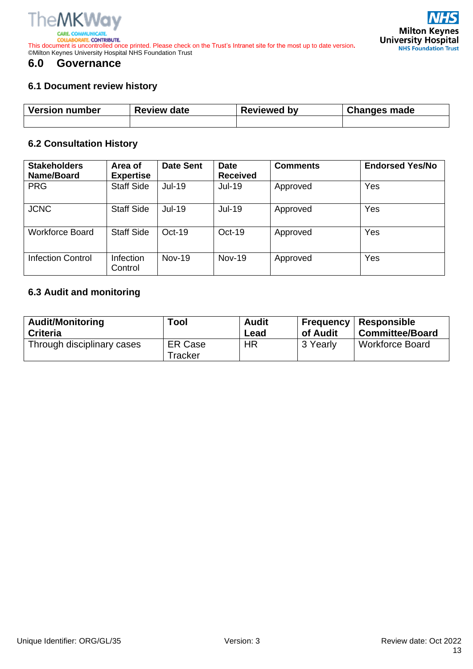

**JORATE, CONTRIBUTE. COLLA** This document is uncontrolled once printed. Please check on the Trust's Intranet site for the most up to date version**.** ©Milton Keynes University Hospital NHS Foundation Trust

## <span id="page-12-0"></span>**6.0 Governance**

# <span id="page-12-1"></span>**6.1 Document review history**

|                                                           | <b>NHS</b>           |
|-----------------------------------------------------------|----------------------|
| <b>University Hospital</b><br><b>NHS Foundation Trust</b> | <b>Milton Keynes</b> |

| <b>Version number</b> | <b>Review date</b> | <b>Reviewed by</b> | <b>Changes made</b> |
|-----------------------|--------------------|--------------------|---------------------|
|                       |                    |                    |                     |

#### <span id="page-12-2"></span>**6.2 Consultation History**

| <b>Stakeholders</b><br>Name/Board | Area of<br><b>Expertise</b> | <b>Date Sent</b> | <b>Date</b><br><b>Received</b> | <b>Comments</b> | <b>Endorsed Yes/No</b> |
|-----------------------------------|-----------------------------|------------------|--------------------------------|-----------------|------------------------|
| <b>PRG</b>                        | <b>Staff Side</b>           | Jul-19           | <b>Jul-19</b>                  | Approved        | Yes                    |
| <b>JCNC</b>                       | <b>Staff Side</b>           | <b>Jul-19</b>    | <b>Jul-19</b>                  | Approved        | Yes                    |
| Workforce Board                   | <b>Staff Side</b>           | $Oct-19$         | $Oct-19$                       | Approved        | Yes                    |
| Infection Control                 | <b>Infection</b><br>Control | $Nov-19$         | <b>Nov-19</b>                  | Approved        | Yes                    |

### <span id="page-12-3"></span>**6.3 Audit and monitoring**

| <b>Audit/Monitoring</b>    | Tool                      | <b>Audit</b> | <b>Frequency</b> | <b>Responsible</b>     |
|----------------------------|---------------------------|--------------|------------------|------------------------|
| <b>Criteria</b>            |                           | Lead         | of Audit         | <b>Committee/Board</b> |
| Through disciplinary cases | <b>ER Case</b><br>Tracker | ΗR           | 3 Yearly         | <b>Workforce Board</b> |